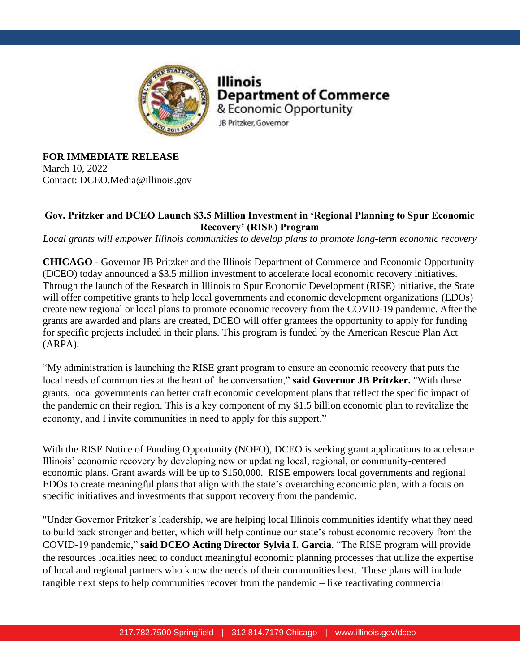

Illinois **Department of Commerce** & Economic Opportunity JB Pritzker, Governor

**FOR IMMEDIATE RELEASE** March 10, 2022 Contact: DCEO.Media@illinois.gov

## **Gov. Pritzker and DCEO Launch \$3.5 Million Investment in 'Regional Planning to Spur Economic Recovery' (RISE) Program**

*Local grants will empower Illinois communities to develop plans to promote long-term economic recovery*

**CHICAGO** - Governor JB Pritzker and the Illinois Department of Commerce and Economic Opportunity (DCEO) today announced a \$3.5 million investment to accelerate local economic recovery initiatives. Through the launch of the Research in Illinois to Spur Economic Development (RISE) initiative, the State will offer competitive grants to help local governments and economic development organizations (EDOs) create new regional or local plans to promote economic recovery from the COVID-19 pandemic. After the grants are awarded and plans are created, DCEO will offer grantees the opportunity to apply for funding for specific projects included in their plans. This program is funded by the American Rescue Plan Act (ARPA).

"My administration is launching the RISE grant program to ensure an economic recovery that puts the local needs of communities at the heart of the conversation," **said Governor JB Pritzker.** "With these grants, local governments can better craft economic development plans that reflect the specific impact of the pandemic on their region. This is a key component of my \$1.5 billion economic plan to revitalize the economy, and I invite communities in need to apply for this support."

With the RISE Notice of Funding Opportunity (NOFO), DCEO is seeking grant applications to accelerate Illinois' economic recovery by developing new or updating local, regional, or community-centered economic plans. Grant awards will be up to \$150,000. RISE empowers local governments and regional EDOs to create meaningful plans that align with the state's overarching economic plan, with a focus on specific initiatives and investments that support recovery from the pandemic.

"Under Governor Pritzker's leadership, we are helping local Illinois communities identify what they need to build back stronger and better, which will help continue our state's robust economic recovery from the COVID-19 pandemic," **said DCEO Acting Director Sylvia I. Garcia**. "The RISE program will provide the resources localities need to conduct meaningful economic planning processes that utilize the expertise of local and regional partners who know the needs of their communities best. These plans will include tangible next steps to help communities recover from the pandemic – like reactivating commercial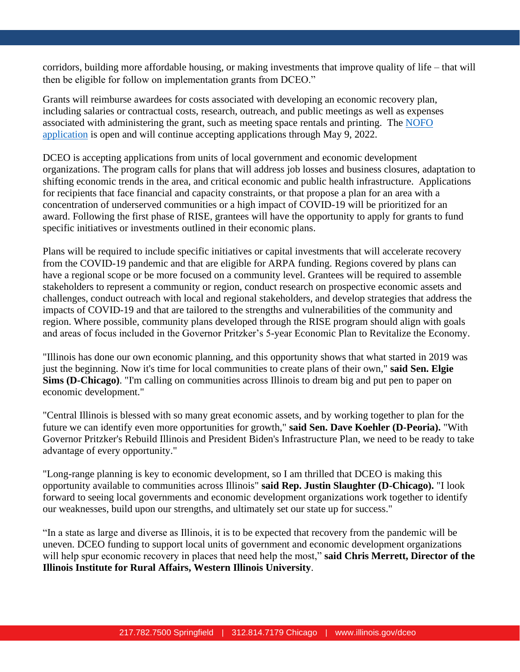corridors, building more affordable housing, or making investments that improve quality of life – that will then be eligible for follow on implementation grants from DCEO."

Grants will reimburse awardees for costs associated with developing an economic recovery plan, including salaries or contractual costs, research, outreach, and public meetings as well as expenses associated with administering the grant, such as meeting space rentals and printing. The [NOFO](https://www2.illinois.gov/dceo/AboutDCEO/GrantOpportunities/Pages/2777-2106.aspx)  [application](https://www2.illinois.gov/dceo/AboutDCEO/GrantOpportunities/Pages/2777-2106.aspx) is open and will continue accepting applications through May 9, 2022.

DCEO is accepting applications from units of local government and economic development organizations. The program calls for plans that will address job losses and business closures, adaptation to shifting economic trends in the area, and critical economic and public health infrastructure. Applications for recipients that face financial and capacity constraints, or that propose a plan for an area with a concentration of underserved communities or a high impact of COVID-19 will be prioritized for an award. Following the first phase of RISE, grantees will have the opportunity to apply for grants to fund specific initiatives or investments outlined in their economic plans.

Plans will be required to include specific initiatives or capital investments that will accelerate recovery from the COVID-19 pandemic and that are eligible for ARPA funding. Regions covered by plans can have a regional scope or be more focused on a community level. Grantees will be required to assemble stakeholders to represent a community or region, conduct research on prospective economic assets and challenges, conduct outreach with local and regional stakeholders, and develop strategies that address the impacts of COVID-19 and that are tailored to the strengths and vulnerabilities of the community and region. Where possible, community plans developed through the RISE program should align with goals and areas of focus included in the Governor Pritzker's 5-year Economic Plan to Revitalize the Economy.

"Illinois has done our own economic planning, and this opportunity shows that what started in 2019 was just the beginning. Now it's time for local communities to create plans of their own," **said Sen. Elgie Sims (D-Chicago)**. "I'm calling on communities across Illinois to dream big and put pen to paper on economic development."

"Central Illinois is blessed with so many great economic assets, and by working together to plan for the future we can identify even more opportunities for growth," **said Sen. Dave Koehler (D-Peoria).** "With Governor Pritzker's Rebuild Illinois and President Biden's Infrastructure Plan, we need to be ready to take advantage of every opportunity."

"Long-range planning is key to economic development, so I am thrilled that DCEO is making this opportunity available to communities across Illinois" **said Rep. Justin Slaughter (D-Chicago).** "I look forward to seeing local governments and economic development organizations work together to identify our weaknesses, build upon our strengths, and ultimately set our state up for success."

"In a state as large and diverse as Illinois, it is to be expected that recovery from the pandemic will be uneven. DCEO funding to support local units of government and economic development organizations will help spur economic recovery in places that need help the most," **said Chris Merrett, Director of the Illinois Institute for Rural Affairs, Western Illinois University**.